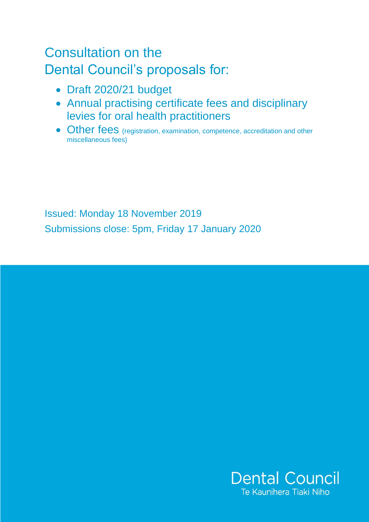# Consultation on the Dental Council's proposals for:

- Draft 2020/21 budget
- Annual practising certificate fees and disciplinary levies for oral health practitioners
- Other fees (registration, examination, competence, accreditation and other miscellaneous fees)

Issued: Monday 18 November 2019 Submissions close: 5pm, Friday 17 January 2020

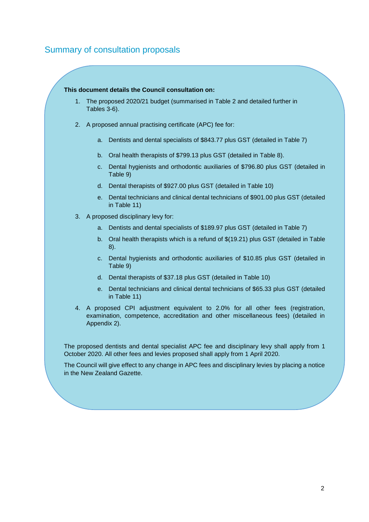### Summary of consultation proposals

#### **This document details the Council consultation on:**

- 1. The proposed 2020/21 budget (summarised in Table 2 and detailed further in Tables 3-6).
- 2. A proposed annual practising certificate (APC) fee for:
	- a. Dentists and dental specialists of \$843.77 plus GST (detailed in Table 7)
	- b. Oral health therapists of \$799.13 plus GST (detailed in Table 8).
	- c. Dental hygienists and orthodontic auxiliaries of \$796.80 plus GST (detailed in Table 9)
	- d. Dental therapists of \$927.00 plus GST (detailed in Table 10)
	- e. Dental technicians and clinical dental technicians of \$901.00 plus GST (detailed in Table 11)
- 3. A proposed disciplinary levy for:
	- a. Dentists and dental specialists of \$189.97 plus GST (detailed in Table 7)
	- b. Oral health therapists which is a refund of \$(19.21) plus GST (detailed in Table 8).
	- c. Dental hygienists and orthodontic auxiliaries of \$10.85 plus GST (detailed in Table 9)
	- d. Dental therapists of \$37.18 plus GST (detailed in Table 10)
	- e. Dental technicians and clinical dental technicians of \$65.33 plus GST (detailed in Table 11)
- 4. A proposed CPI adjustment equivalent to 2.0% for all other fees (registration, examination, competence, accreditation and other miscellaneous fees) (detailed in Appendix 2).

The proposed dentists and dental specialist APC fee and disciplinary levy shall apply from 1 October 2020. All other fees and levies proposed shall apply from 1 April 2020.

The Council will give effect to any change in APC fees and disciplinary levies by placing a notice in the New Zealand Gazette.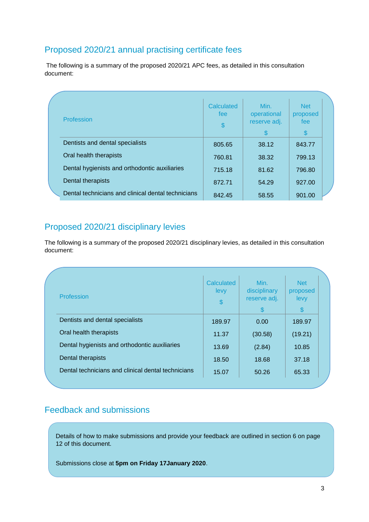### Proposed 2020/21 annual practising certificate fees

The following is a summary of the proposed 2020/21 APC fees, as detailed in this consultation document:

| Profession                                         | <b>Calculated</b><br>fee<br>$\boldsymbol{\$}$ | Min.<br>operational<br>reserve adj.<br>\$ | <b>Net</b><br>proposed<br>fee<br>S |  |
|----------------------------------------------------|-----------------------------------------------|-------------------------------------------|------------------------------------|--|
| Dentists and dental specialists                    | 805.65                                        | 38.12                                     | 843.77                             |  |
| Oral health therapists                             | 760.81                                        | 38.32                                     | 799.13                             |  |
| Dental hygienists and orthodontic auxiliaries      | 715.18                                        | 81.62                                     | 796.80                             |  |
| Dental therapists                                  | 872.71                                        | 54.29                                     | 927.00                             |  |
| Dental technicians and clinical dental technicians | 842.45                                        | 58.55                                     | 901.00                             |  |

### Proposed 2020/21 disciplinary levies

The following is a summary of the proposed 2020/21 disciplinary levies, as detailed in this consultation document:

| Profession                                         | Calculated<br>levy<br>\$ | Min.<br>disciplinary<br>reserve adj.<br>\$. | <b>Net</b><br>proposed<br>levy<br>\$ |
|----------------------------------------------------|--------------------------|---------------------------------------------|--------------------------------------|
| Dentists and dental specialists                    | 189.97                   | 0.00                                        | 189.97                               |
| Oral health therapists                             | 11.37                    | (30.58)                                     | (19.21)                              |
| Dental hygienists and orthodontic auxiliaries      | 13.69                    | (2.84)                                      | 10.85                                |
| Dental therapists                                  | 18.50                    | 18.68                                       | 37.18                                |
| Dental technicians and clinical dental technicians | 15.07                    | 50.26                                       | 65.33                                |

### Feedback and submissions

Details of how to make submissions and provide your feedback are outlined in section 6 on page 12 of this document.

Submissions close at **5pm on Friday 17January 2020**.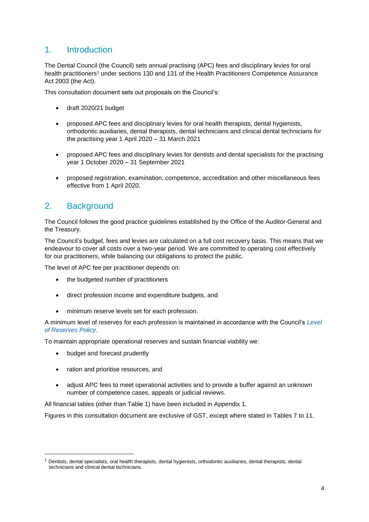### 1. Introduction

The Dental Council (the Council) sets annual practising (APC) fees and disciplinary levies for oral health practitioners<sup>1</sup> under sections 130 and 131 of the Health Practitioners Competence Assurance Act 2003 (the Act).

This consultation document sets out proposals on the Council's:

- draft 2020/21 budget
- proposed APC fees and disciplinary levies for oral health therapists, dental hygienists, orthodontic auxiliaries, dental therapists, dental technicians and clinical dental technicians for the practising year 1 April 2020 – 31 March 2021
- proposed APC fees and disciplinary levies for dentists and dental specialists for the practising year 1 October 2020 – 31 September 2021
- proposed registration, examination, competence, accreditation and other miscellaneous fees effective from 1 April 2020.

### 2. Background

The Council follows the good practice guidelines established by the Office of the Auditor-General and the Treasury.

The Council's budget, fees and levies are calculated on a full cost recovery basis. This means that we endeavour to cover all costs over a two-year period. We are committed to operating cost effectively for our practitioners, while balancing our obligations to protect the public.

The level of APC fee per practitioner depends on:

- the budgeted number of practitioners
- direct profession income and expenditure budgets, and
- minimum reserve levels set for each profession.

A minimum level of reserves for each profession is maintained in accordance with the Council's *[Level](https://www.dcnz.org.nz/assets/Uploads/Policies/PO1-05-01-Level-of-reserves-policy.pdf) [of Reserves Policy](https://www.dcnz.org.nz/assets/Uploads/Policies/PO1-05-01-Level-of-reserves-policy.pdf)*.

To maintain appropriate operational reserves and sustain financial viability we:

• budget and forecast prudently

**.** 

- ration and prioritise resources, and
- adjust APC fees to meet operational activities and to provide a buffer against an unknown number of competence cases, appeals or judicial reviews.

All financial tables (other than Table 1) have been included in Appendix 1.

Figures in this consultation document are exclusive of GST, except where stated in Tables 7 to 11.

<sup>1</sup> Dentists, dental specialists, oral health therapists, dental hygienists, orthodontic auxiliaries, dental therapists, dental technicians and clinical dental technicians.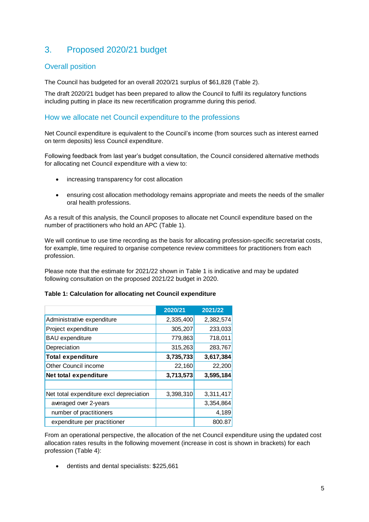### 3. Proposed 2020/21 budget

#### Overall position

The Council has budgeted for an overall 2020/21 surplus of \$61,828 (Table 2).

The draft 2020/21 budget has been prepared to allow the Council to fulfil its regulatory functions including putting in place its new recertification programme during this period.

#### How we allocate net Council expenditure to the professions

Net Council expenditure is equivalent to the Council's income (from sources such as interest earned on term deposits) less Council expenditure.

Following feedback from last year's budget consultation, the Council considered alternative methods for allocating net Council expenditure with a view to:

- increasing transparency for cost allocation
- ensuring cost allocation methodology remains appropriate and meets the needs of the smaller oral health professions.

As a result of this analysis, the Council proposes to allocate net Council expenditure based on the number of practitioners who hold an APC (Table 1).

We will continue to use time recording as the basis for allocating profession-specific secretariat costs, for example, time required to organise competence review committees for practitioners from each profession.

Please note that the estimate for 2021/22 shown in Table 1 is indicative and may be updated following consultation on the proposed 2021/22 budget in 2020.

#### **Table 1: Calculation for allocating net Council expenditure**

|                                         | 2020/21   | 2021/22   |
|-----------------------------------------|-----------|-----------|
| Administrative expenditure              | 2,335,400 | 2,382,574 |
| Project expenditure                     | 305,207   | 233,033   |
| <b>BAU</b> expenditure                  | 779,863   | 718,011   |
| Depreciation                            | 315,263   | 283,767   |
| <b>Total expenditure</b>                | 3,735,733 | 3,617,384 |
| <b>Other Council income</b>             | 22,160    | 22,200    |
| Net total expenditure                   | 3,713,573 | 3,595,184 |
|                                         |           |           |
| Net total expenditure excl depreciation | 3,398,310 | 3,311,417 |
| averaged over 2-years                   |           | 3,354,864 |
| number of practitioners                 |           | 4,189     |
| expenditure per practitioner            |           | 800.87    |

From an operational perspective, the allocation of the net Council expenditure using the updated cost allocation rates results in the following movement (increase in cost is shown in brackets) for each profession (Table 4):

dentists and dental specialists: \$225,661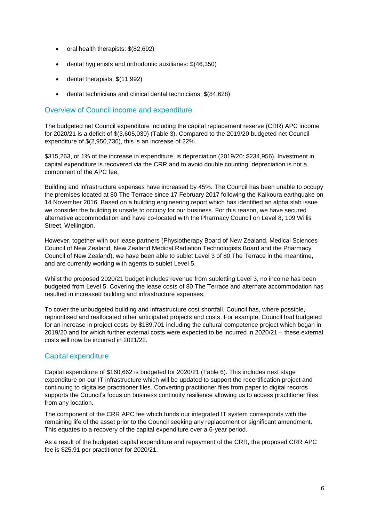- oral health therapists: \$(82,692)
- dental hygienists and orthodontic auxiliaries: \$(46,350)
- dental therapists: \$(11,992)
- dental technicians and clinical dental technicians: \$(84,628)

#### Overview of Council income and expenditure

The budgeted net Council expenditure including the capital replacement reserve (CRR) APC income for 2020/21 is a deficit of \$(3,605,030) (Table 3). Compared to the 2019/20 budgeted net Council expenditure of \$(2,950,736), this is an increase of 22%.

\$315,263, or 1% of the increase in expenditure, is depreciation (2019/20: \$234,956). Investment in capital expenditure is recovered via the CRR and to avoid double counting, depreciation is not a component of the APC fee.

Building and infrastructure expenses have increased by 45%. The Council has been unable to occupy the premises located at 80 The Terrace since 17 February 2017 following the Kaikoura earthquake on 14 November 2016. Based on a building engineering report which has identified an alpha slab issue we consider the building is unsafe to occupy for our business. For this reason, we have secured alternative accommodation and have co-located with the Pharmacy Council on Level 8, 109 Willis Street, Wellington.

However, together with our lease partners (Physiotherapy Board of New Zealand, Medical Sciences Council of New Zealand, New Zealand Medical Radiation Technologists Board and the Pharmacy Council of New Zealand), we have been able to sublet Level 3 of 80 The Terrace in the meantime, and are currently working with agents to sublet Level 5.

Whilst the proposed 2020/21 budget includes revenue from subletting Level 3, no income has been budgeted from Level 5. Covering the lease costs of 80 The Terrace and alternate accommodation has resulted in increased building and infrastructure expenses.

To cover the unbudgeted building and infrastructure cost shortfall, Council has, where possible, reprioritised and reallocated other anticipated projects and costs. For example, Council had budgeted for an increase in project costs by \$189,701 including the cultural competence project which began in 2019/20 and for which further external costs were expected to be incurred in 2020/21 – these external costs will now be incurred in 2021/22.

#### Capital expenditure

Capital expenditure of \$160,662 is budgeted for 2020/21 (Table 6). This includes next stage expenditure on our IT infrastructure which will be updated to support the recertification project and continuing to digitalise practitioner files. Converting practitioner files from paper to digital records supports the Council's focus on business continuity resilience allowing us to access practitioner files from any location.

The component of the CRR APC fee which funds our integrated IT system corresponds with the remaining life of the asset prior to the Council seeking any replacement or significant amendment. This equates to a recovery of the capital expenditure over a 6-year period.

As a result of the budgeted capital expenditure and repayment of the CRR, the proposed CRR APC fee is \$25.91 per practitioner for 2020/21.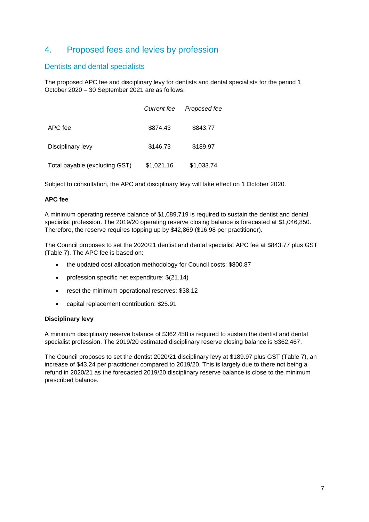### 4. Proposed fees and levies by profession

#### Dentists and dental specialists

The proposed APC fee and disciplinary levy for dentists and dental specialists for the period 1 October 2020 – 30 September 2021 are as follows:

|                               | Current fee | Proposed fee |
|-------------------------------|-------------|--------------|
| APC fee                       | \$874.43    | \$843.77     |
| Disciplinary levy             | \$146.73    | \$189.97     |
| Total payable (excluding GST) | \$1,021.16  | \$1,033.74   |

Subject to consultation, the APC and disciplinary levy will take effect on 1 October 2020.

#### **APC fee**

A minimum operating reserve balance of \$1,089,719 is required to sustain the dentist and dental specialist profession. The 2019/20 operating reserve closing balance is forecasted at \$1,046,850. Therefore, the reserve requires topping up by \$42,869 (\$16.98 per practitioner).

The Council proposes to set the 2020/21 dentist and dental specialist APC fee at \$843.77 plus GST (Table 7). The APC fee is based on:

- the updated cost allocation methodology for Council costs: \$800.87
- profession specific net expenditure: \$(21.14)
- reset the minimum operational reserves: \$38.12
- capital replacement contribution: \$25.91

#### **Disciplinary levy**

A minimum disciplinary reserve balance of \$362,458 is required to sustain the dentist and dental specialist profession. The 2019/20 estimated disciplinary reserve closing balance is \$362,467.

The Council proposes to set the dentist 2020/21 disciplinary levy at \$189.97 plus GST (Table 7), an increase of \$43.24 per practitioner compared to 2019/20. This is largely due to there not being a refund in 2020/21 as the forecasted 2019/20 disciplinary reserve balance is close to the minimum prescribed balance.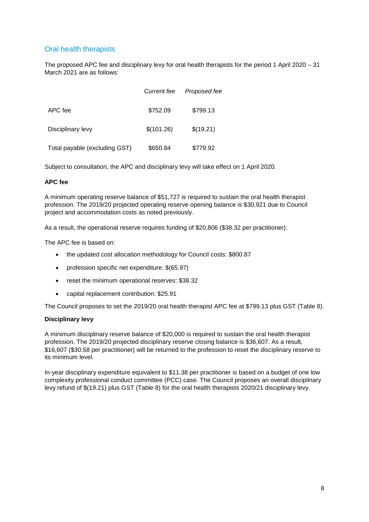### Oral health therapists

The proposed APC fee and disciplinary levy for oral health therapists for the period 1 April 2020 – 31 March 2021 are as follows:

|                               | Current fee | Proposed fee |
|-------------------------------|-------------|--------------|
| APC fee                       | \$752.09    | \$799.13     |
| Disciplinary levy             | \$(101.26)  | \$(19.21)    |
| Total payable (excluding GST) | \$650.84    | \$779.92     |

Subject to consultation, the APC and disciplinary levy will take effect on 1 April 2020.

#### **APC fee**

A minimum operating reserve balance of \$51,727 is required to sustain the oral health therapist profession. The 2019/20 projected operating reserve opening balance is \$30,921 due to Council project and accommodation costs as noted previously.

As a result, the operational reserve requires funding of \$20,806 (\$38.32 per practitioner).

The APC fee is based on:

- the updated cost allocation methodology for Council costs: \$800.87
- profession specific net expenditure: \$(65.97)
- reset the minimum operational reserves: \$38.32
- capital replacement contribution: \$25.91

The Council proposes to set the 2019/20 oral health therapist APC fee at \$799.13 plus GST (Table 8).

#### **Disciplinary levy**

A minimum disciplinary reserve balance of \$20,000 is required to sustain the oral health therapist profession. The 2019/20 projected disciplinary reserve closing balance is \$36,607. As a result, \$16,607 (\$30.58 per practitioner) will be returned to the profession to reset the disciplinary reserve to its minimum level*.*

In-year disciplinary expenditure equivalent to \$11.38 per practitioner is based on a budget of one low complexity professional conduct committee (PCC) case. The Council proposes an overall disciplinary levy refund of \$(19.21) plus GST (Table 8) for the oral health therapists 2020/21 disciplinary levy.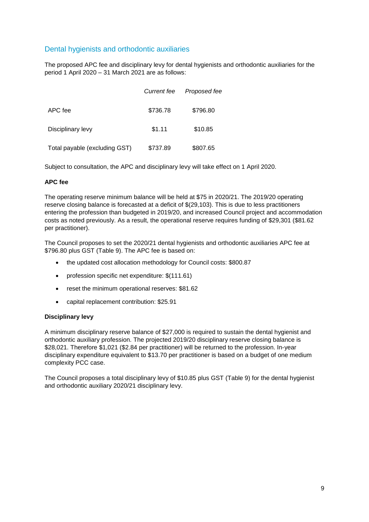#### Dental hygienists and orthodontic auxiliaries

The proposed APC fee and disciplinary levy for dental hygienists and orthodontic auxiliaries for the period 1 April 2020 – 31 March 2021 are as follows:

|                               | <b>Current fee</b> | Proposed fee |
|-------------------------------|--------------------|--------------|
| APC fee                       | \$736.78           | \$796.80     |
| Disciplinary levy             | \$1.11             | \$10.85      |
| Total payable (excluding GST) | \$737.89           | \$807.65     |

Subject to consultation, the APC and disciplinary levy will take effect on 1 April 2020.

#### **APC fee**

The operating reserve minimum balance will be held at \$75 in 2020/21. The 2019/20 operating reserve closing balance is forecasted at a deficit of \$(29,103). This is due to less practitioners entering the profession than budgeted in 2019/20, and increased Council project and accommodation costs as noted previously. As a result, the operational reserve requires funding of \$29,301 (\$81.62 per practitioner).

The Council proposes to set the 2020/21 dental hygienists and orthodontic auxiliaries APC fee at \$796.80 plus GST (Table 9). The APC fee is based on:

- the updated cost allocation methodology for Council costs: \$800.87
- profession specific net expenditure: \$(111.61)
- reset the minimum operational reserves: \$81.62
- capital replacement contribution: \$25.91

#### **Disciplinary levy**

A minimum disciplinary reserve balance of \$27,000 is required to sustain the dental hygienist and orthodontic auxiliary profession. The projected 2019/20 disciplinary reserve closing balance is \$28,021. Therefore \$1,021 (\$2.84 per practitioner) will be returned to the profession. In-year disciplinary expenditure equivalent to \$13.70 per practitioner is based on a budget of one medium complexity PCC case.

The Council proposes a total disciplinary levy of \$10.85 plus GST (Table 9) for the dental hygienist and orthodontic auxiliary 2020/21 disciplinary levy.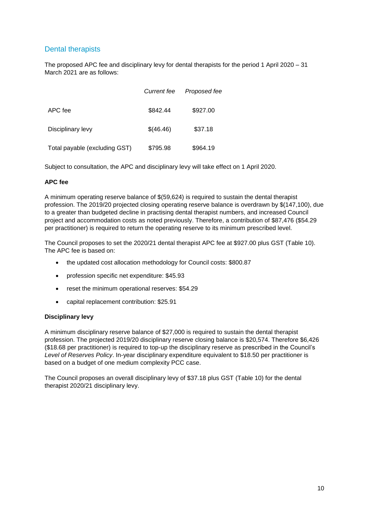#### Dental therapists

The proposed APC fee and disciplinary levy for dental therapists for the period 1 April 2020 – 31 March 2021 are as follows:

|                               | <b>Current fee</b> | Proposed fee |
|-------------------------------|--------------------|--------------|
| APC fee                       | \$842.44           | \$927.00     |
| Disciplinary levy             | \$(46.46)          | \$37.18      |
| Total payable (excluding GST) | \$795.98           | \$964.19     |

Subject to consultation, the APC and disciplinary levy will take effect on 1 April 2020.

#### **APC fee**

A minimum operating reserve balance of \$(59,624) is required to sustain the dental therapist profession. The 2019/20 projected closing operating reserve balance is overdrawn by \$(147,100), due to a greater than budgeted decline in practising dental therapist numbers, and increased Council project and accommodation costs as noted previously. Therefore, a contribution of \$87,476 (\$54.29 per practitioner) is required to return the operating reserve to its minimum prescribed level.

The Council proposes to set the 2020/21 dental therapist APC fee at \$927.00 plus GST (Table 10). The APC fee is based on:

- the updated cost allocation methodology for Council costs: \$800.87
- profession specific net expenditure: \$45.93
- reset the minimum operational reserves: \$54.29
- capital replacement contribution: \$25.91

#### **Disciplinary levy**

A minimum disciplinary reserve balance of \$27,000 is required to sustain the dental therapist profession. The projected 2019/20 disciplinary reserve closing balance is \$20,574. Therefore \$6,426 (\$18.68 per practitioner) is required to top-up the disciplinary reserve as prescribed in the Council's *Level of Reserves Policy*. In-year disciplinary expenditure equivalent to \$18.50 per practitioner is based on a budget of one medium complexity PCC case.

The Council proposes an overall disciplinary levy of \$37.18 plus GST (Table 10) for the dental therapist 2020/21 disciplinary levy.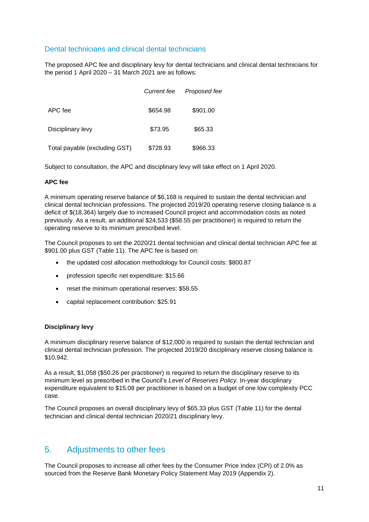#### Dental technicians and clinical dental technicians

The proposed APC fee and disciplinary levy for dental technicians and clinical dental technicians for the period 1 April 2020 – 31 March 2021 are as follows:

|                               | <b>Current fee</b> | Proposed fee |
|-------------------------------|--------------------|--------------|
| APC fee                       | \$654.98           | \$901.00     |
| Disciplinary levy             | \$73.95            | \$65.33      |
| Total payable (excluding GST) | \$728.93           | \$966.33     |

Subject to consultation, the APC and disciplinary levy will take effect on 1 April 2020.

#### **APC fee**

A minimum operating reserve balance of \$6,168 is required to sustain the dental technician and clinical dental technician professions. The projected 2019/20 operating reserve closing balance is a deficit of \$(18,364) largely due to increased Council project and accommodation costs as noted previously. As a result, an additional \$24,533 (\$58.55 per practitioner) is required to return the operating reserve to its minimum prescribed level.

The Council proposes to set the 2020/21 dental technician and clinical dental technician APC fee at \$901.00 plus GST (Table 11). The APC fee is based on:

- the updated cost allocation methodology for Council costs: \$800.87
- profession specific net expenditure: \$15.66
- reset the minimum operational reserves: \$58.55
- capital replacement contribution: \$25.91

#### **Disciplinary levy**

A minimum disciplinary reserve balance of \$12,000 is required to sustain the dental technician and clinical dental technician profession. The projected 2019/20 disciplinary reserve closing balance is \$10,942.

As a result, \$1,058 (\$50.26 per practitioner) is required to return the disciplinary reserve to its minimum level as prescribed in the Council's *Level of Reserves Policy.* In-year disciplinary expenditure equivalent to \$15.08 per practitioner is based on a budget of one low complexity PCC case.

The Council proposes an overall disciplinary levy of \$65.33 plus GST (Table 11) for the dental technician and clinical dental technician 2020/21 disciplinary levy.

### 5. Adjustments to other fees

The Council proposes to increase all other fees by the Consumer Price Index (CPI) of 2.0% as sourced from the Reserve Bank Monetary Policy Statement May 2019 (Appendix 2).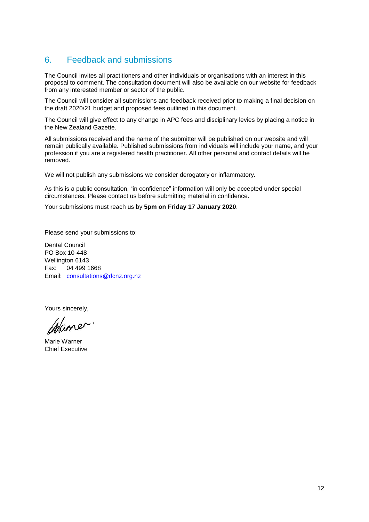### 6. Feedback and submissions

The Council invites all practitioners and other individuals or organisations with an interest in this proposal to comment. The consultation document will also be available on our website for feedback from any interested member or sector of the public.

The Council will consider all submissions and feedback received prior to making a final decision on the draft 2020/21 budget and proposed fees outlined in this document.

The Council will give effect to any change in APC fees and disciplinary levies by placing a notice in the New Zealand Gazette.

All submissions received and the name of the submitter will be published on our website and will remain publically available. Published submissions from individuals will include your name, and your profession if you are a registered health practitioner. All other personal and contact details will be removed.

We will not publish any submissions we consider derogatory or inflammatory.

As this is a public consultation, "in confidence" information will only be accepted under special circumstances. Please contact us before submitting material in confidence.

Your submissions must reach us by **5pm on Friday 17 January 2020**.

Please send your submissions to:

Dental Council PO Box 10-448 Wellington 6143 Fax: 04 499 1668 Email: [consultations@dcnz.org.nz](mailto:consultations@dcnz.org.nz)

Yours sincerely,

Chaner.

Marie Warner Chief Executive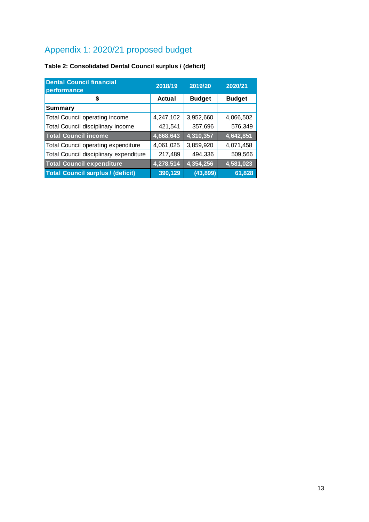## Appendix 1: 2020/21 proposed budget

### **Table 2: Consolidated Dental Council surplus / (deficit)**

| <b>Dental Council financial</b><br>performance | 2018/19   | 2019/20       | 2020/21       |  |
|------------------------------------------------|-----------|---------------|---------------|--|
| \$                                             | Actual    | <b>Budget</b> | <b>Budget</b> |  |
| Summary                                        |           |               |               |  |
| <b>Total Council operating income</b>          | 4,247,102 | 3,952,660     | 4,066,502     |  |
| Total Council disciplinary income              | 421,541   | 357,696       | 576,349       |  |
| <b>Total Council income</b>                    | 4,668,643 | 4,310,357     | 4,642,851     |  |
| Total Council operating expenditure            | 4,061,025 | 3,859,920     | 4,071,458     |  |
| Total Council disciplinary expenditure         | 217,489   | 494,336       | 509,566       |  |
| <b>Total Council expenditure</b>               | 4,278,514 | 4,354,256     | 4,581,023     |  |
| <b>Total Council surplus / (deficit)</b>       | 390,129   | (43, 899)     | 61,828        |  |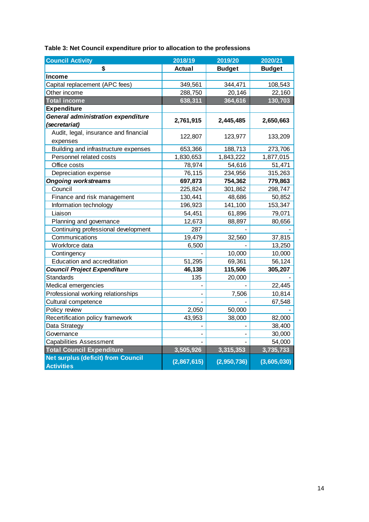| <b>Council Activity</b>                   | 2018/19       | 2019/20       | 2020/21       |
|-------------------------------------------|---------------|---------------|---------------|
| \$                                        | <b>Actual</b> | <b>Budget</b> | <b>Budget</b> |
| <b>Income</b>                             |               |               |               |
| Capital replacement (APC fees)            | 349,561       | 344,471       | 108,543       |
| Other income                              | 288,750       | 20,146        | 22,160        |
| <b>Total income</b>                       | 638,311       | 364,616       | 130,703       |
| <b>Expenditure</b>                        |               |               |               |
| General administration expenditure        | 2,761,915     | 2,445,485     | 2,650,663     |
| (secretariat)                             |               |               |               |
| Audit, legal, insurance and financial     | 122,807       | 123,977       | 133,209       |
| expenses                                  |               |               |               |
| Building and infrastructure expenses      | 653,366       | 188,713       | 273,706       |
| Personnel related costs                   | 1,830,653     | 1,843,222     | 1,877,015     |
| Office costs                              | 78,974        | 54,616        | 51,471        |
| Depreciation expense                      | 76,115        | 234,956       | 315,263       |
| <b>Ongoing workstreams</b>                | 697,873       | 754,362       | 779,863       |
| Council                                   | 225,824       | 301,862       | 298,747       |
| Finance and risk management               | 130,441       | 48,686        | 50,852        |
| Information technology                    | 196,923       | 141,100       | 153,347       |
| Liaison                                   | 54,451        | 61,896        | 79,071        |
| Planning and governance                   | 12,673        | 88,897        | 80,656        |
| Continuing professional development       | 287           |               |               |
| Communications                            | 19,479        | 32,560        | 37,815        |
| Workforce data                            | 6,500         |               | 13,250        |
| Contingency                               |               | 10,000        | 10,000        |
| Education and accreditation               | 51,295        | 69,361        | 56,124        |
| <b>Council Project Expenditure</b>        | 46,138        | 115,506       | 305,207       |
| <b>Standards</b>                          | 135           | 20,000        |               |
| Medical emergencies                       |               |               | 22,445        |
| Professional working relationships        |               | 7,506         | 10,814        |
| Cultural competence                       |               |               | 67,548        |
| Policy review                             | 2,050         | 50,000        |               |
| Recertification policy framework          | 43,953        | 38,000        | 82,000        |
| Data Strategy                             |               |               | 38,400        |
| Governance                                |               |               | 30,000        |
| <b>Capabilities Assessment</b>            |               |               | 54,000        |
| <b>Total Council Expenditure</b>          | 3,505,926     | 3,315,353     | 3,735,733     |
| <b>Net surplus (deficit) from Council</b> | (2,867,615)   | (2,950,736)   | (3,605,030)   |
| <b>Activities</b>                         |               |               |               |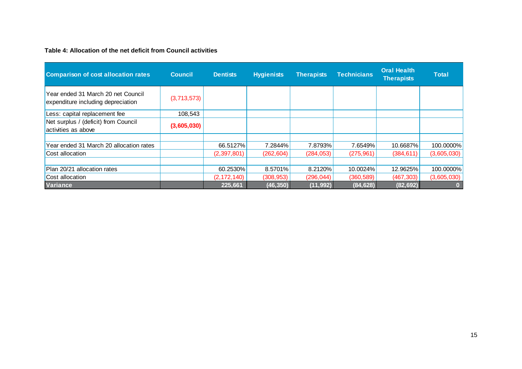#### **Table 4: Allocation of the net deficit from Council activities**

| <b>Comparison of cost allocation rates</b>                               | <b>Council</b> | <b>Dentists</b> | <b>Hygienists</b> | <b>Therapists</b> | <b>Technicians</b> | <b>Oral Health</b><br><b>Therapists</b> | <b>Total</b> |
|--------------------------------------------------------------------------|----------------|-----------------|-------------------|-------------------|--------------------|-----------------------------------------|--------------|
| Year ended 31 March 20 net Council<br>expenditure including depreciation | (3,713,573)    |                 |                   |                   |                    |                                         |              |
| Less: capital replacement fee                                            | 108,543        |                 |                   |                   |                    |                                         |              |
| Net surplus / (deficit) from Council<br>activities as above              | (3,605,030)    |                 |                   |                   |                    |                                         |              |
|                                                                          |                |                 |                   |                   |                    |                                         |              |
| Year ended 31 March 20 allocation rates                                  |                | 66.5127%        | 7.2844%           | 7.8793%           | 7.6549%            | 10.6687%                                | 100.0000%    |
| Cost allocation                                                          |                | (2, 397, 801)   | (262, 604)        | (284, 053)        | (275, 961)         | (384, 611)                              | (3,605,030)  |
|                                                                          |                |                 |                   |                   |                    |                                         |              |
| Plan 20/21 allocation rates                                              |                | 60.2530%        | 8.5701%           | 8.2120%           | 10.0024%           | 12.9625%                                | 100.0000%    |
| Cost allocation                                                          |                | (2, 172, 140)   | (308, 953)        | (296, 044)        | (360, 589)         | (467, 303)                              | (3,605,030)  |
| <b>Variance</b>                                                          |                | 225,661         | (46, 350)         | (11, 992)         | (84, 628)          | (82, 692)                               |              |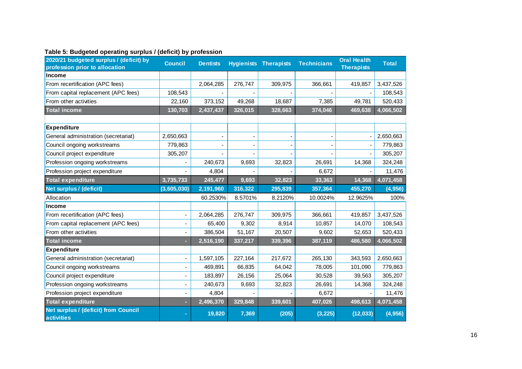| 2020/21 budgeted surplus / (deficit) by<br>profession prior to allocation | <b>Council</b>           | <b>Dentists</b> |         | <b>Hygienists Therapists</b> | <b>Technicians</b> | <b>Oral Health</b><br><b>Therapists</b> | <b>Total</b> |
|---------------------------------------------------------------------------|--------------------------|-----------------|---------|------------------------------|--------------------|-----------------------------------------|--------------|
| <b>Income</b>                                                             |                          |                 |         |                              |                    |                                         |              |
| From recertification (APC fees)                                           |                          | 2,064,285       | 276,747 | 309,975                      | 366,661            | 419,857                                 | 3,437,526    |
| From capital replacement (APC fees)                                       | 108,543                  |                 |         |                              |                    |                                         | 108,543      |
| From other activities                                                     | 22,160                   | 373,152         | 49,268  | 18,687                       | 7,385              | 49,781                                  | 520,433      |
| <b>Total income</b>                                                       | 130,703                  | 2,437,437       | 326,015 | 328,663                      | 374,046            | 469,638                                 | 4,066,502    |
|                                                                           |                          |                 |         |                              |                    |                                         |              |
| <b>Expenditure</b>                                                        |                          |                 |         |                              |                    |                                         |              |
| General administration (secretariat)                                      | 2,650,663                |                 |         |                              |                    |                                         | 2,650,663    |
| Council ongoing workstreams                                               | 779,863                  |                 |         |                              |                    |                                         | 779,863      |
| Council project expenditure                                               | 305,207                  |                 |         |                              |                    |                                         | 305,207      |
| Profession ongoing workstreams                                            |                          | 240,673         | 9,693   | 32,823                       | 26,691             | 14,368                                  | 324,248      |
| Profession project expenditure                                            |                          | 4,804           |         |                              | 6,672              |                                         | 11,476       |
| <b>Total expenditure</b>                                                  | 3,735,733                | 245,477         | 9,693   | 32,823                       | 33,363             | 14,368                                  | 4,071,458    |
| Net surplus / (deficit)                                                   | (3,605,030)              | 2,191,960       | 316,322 | 295,839                      | 357,364            | 455,270                                 | (4,956)      |
| Allocation                                                                |                          | 60.2530%        | 8.5701% | 8.2120%                      | 10.0024%           | 12.9625%                                | 100%         |
| <b>Income</b>                                                             |                          |                 |         |                              |                    |                                         |              |
| From recertification (APC fees)                                           |                          | 2,064,285       | 276,747 | 309,975                      | 366,661            | 419,857                                 | 3,437,526    |
| From capital replacement (APC fees)                                       |                          | 65,400          | 9,302   | 8,914                        | 10,857             | 14,070                                  | 108,543      |
| From other activities                                                     |                          | 386,504         | 51,167  | 20,507                       | 9,602              | 52,653                                  | 520,433      |
| <b>Total income</b>                                                       |                          | 2,516,190       | 337,217 | 339,396                      | 387,119            | 486,580                                 | 4,066,502    |
| <b>Expenditure</b>                                                        |                          |                 |         |                              |                    |                                         |              |
| General administration (secretariat)                                      |                          | 1,597,105       | 227,164 | 217,672                      | 265,130            | 343,593                                 | 2,650,663    |
| Council ongoing workstreams                                               |                          | 469,891         | 66,835  | 64,042                       | 78,005             | 101,090                                 | 779,863      |
| Council project expenditure                                               |                          | 183,897         | 26,156  | 25,064                       | 30,528             | 39,563                                  | 305,207      |
| Profession ongoing workstreams                                            | $\overline{\phantom{a}}$ | 240,673         | 9,693   | 32,823                       | 26,691             | 14,368                                  | 324,248      |
| Profession project expenditure                                            |                          | 4,804           |         |                              | 6,672              |                                         | 11,476       |
| <b>Total expenditure</b>                                                  |                          | 2,496,370       | 329,848 | 339,601                      | 407,026            | 498,613                                 | 4,071,458    |
| Net surplus / (deficit) from Council<br><b>activities</b>                 |                          | 19,820          | 7,369   | (205)                        | (3, 225)           | (12, 033)                               | (4,956)      |

#### **Table 5: Budgeted operating surplus / (deficit) by profession**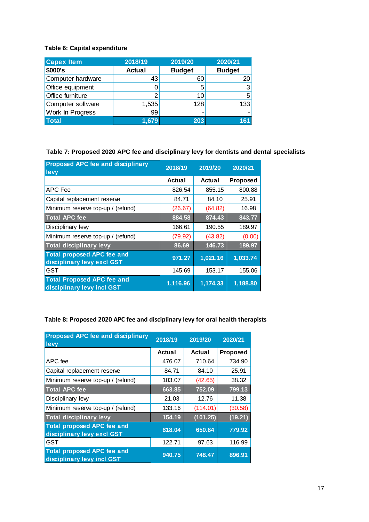#### **Table 6: Capital expenditure**

| <b>Capex Item</b> | 2018/19       | 2019/20       | 2020/21       |
|-------------------|---------------|---------------|---------------|
| \$000's           | <b>Actual</b> | <b>Budget</b> | <b>Budget</b> |
| Computer hardware | 43            | 60            | 20            |
| Office equipment  |               | 5             | 3             |
| Office furniture  | 2             | 10            | 5             |
| Computer software | 1,535         | 128           | 133           |
| Work In Progress  | 99            |               |               |
| <b>Total</b>      | 1,679         | 203           | 161           |

#### **Table 7: Proposed 2020 APC fee and disciplinary levy for dentists and dental specialists**

| <b>Proposed APC fee and disciplinary</b><br>levy                | 2018/19  | 2019/20  | 2020/21  |
|-----------------------------------------------------------------|----------|----------|----------|
|                                                                 | Actual   | Actual   | Proposed |
| <b>APC Fee</b>                                                  | 826.54   | 855.15   | 800.88   |
| Capital replacement reserve                                     | 84.71    | 84.10    | 25.91    |
| Minimum reserve top-up / (refund)                               | (26.67)  | (64.82)  | 16.98    |
| <b>Total APC fee</b>                                            | 884.58   | 874.43   | 843.77   |
| Disciplinary levy                                               | 166.61   | 190.55   | 189.97   |
| Minimum reserve top-up / (refund)                               | (79.92)  | (43.82)  | (0.00)   |
| <b>Total disciplinary levy</b>                                  | 86.69    | 146.73   | 189.97   |
| <b>Total proposed APC fee and</b><br>disciplinary levy excl GST | 971.27   | 1,021.16 | 1,033.74 |
| <b>GST</b>                                                      | 145.69   | 153.17   | 155.06   |
| <b>Total Proposed APC fee and</b><br>disciplinary levy incl GST | 1,116.96 | 1,174.33 | 1,188.80 |

### **Table 8: Proposed 2020 APC fee and disciplinary levy for oral health therapists**

| <b>Proposed APC fee and disciplinary</b><br>levy                | 2018/19 | 2019/20  | 2020/21  |
|-----------------------------------------------------------------|---------|----------|----------|
|                                                                 | Actual  | Actual   | Proposed |
| APC fee                                                         | 476.07  | 710.64   | 734.90   |
| Capital replacement reserve                                     | 84.71   | 84.10    | 25.91    |
| Minimum reserve top-up / (refund)                               | 103.07  | (42.65)  | 38.32    |
| <b>Total APC fee</b>                                            | 663.85  | 752.09   | 799.13   |
| Disciplinary levy                                               | 21.03   | 12.76    | 11.38    |
| Minimum reserve top-up / (refund)                               | 133.16  | (114.01) | (30.58)  |
| <b>Total disciplinary levy</b>                                  | 154.19  | (101.25) | (19.21)  |
| <b>Total proposed APC fee and</b><br>disciplinary levy excl GST | 818.04  | 650.84   | 779.92   |
| <b>GST</b>                                                      | 122.71  | 97.63    | 116.99   |
| <b>Total proposed APC fee and</b><br>disciplinary levy incl GST | 940.75  | 748.47   | 896.91   |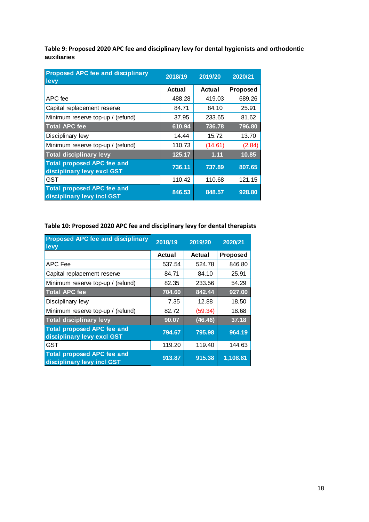**Table 9: Proposed 2020 APC fee and disciplinary levy for dental hygienists and orthodontic auxiliaries**

| <b>Proposed APC fee and disciplinary</b><br>levy                | 2018/19 | 2019/20 | 2020/21         |
|-----------------------------------------------------------------|---------|---------|-----------------|
|                                                                 | Actual  | Actual  | <b>Proposed</b> |
| APC fee                                                         | 488.28  | 419.03  | 689.26          |
| Capital replacement reserve                                     | 84.71   | 84.10   | 25.91           |
| Minimum reserve top-up / (refund)                               | 37.95   | 233.65  | 81.62           |
| <b>Total APC fee</b>                                            | 610.94  | 736.78  | 796.80          |
| Disciplinary levy                                               | 14.44   | 15.72   | 13.70           |
| Minimum reserve top-up / (refund)                               | 110.73  | (14.61) | (2.84)          |
| <b>Total disciplinary levy</b>                                  | 125.17  | 1.11    | 10.85           |
| <b>Total proposed APC fee and</b><br>disciplinary levy excl GST | 736.11  | 737.89  | 807.65          |
| <b>GST</b>                                                      | 110.42  | 110.68  | 121.15          |
| <b>Total proposed APC fee and</b><br>disciplinary levy incl GST | 846.53  | 848.57  | 928.80          |

#### **Table 10: Proposed 2020 APC fee and disciplinary levy for dental therapists**

| <b>Proposed APC fee and disciplinary</b><br>levy                | 2018/19 | 2019/20 | 2020/21  |
|-----------------------------------------------------------------|---------|---------|----------|
|                                                                 | Actual  | Actual  | Proposed |
| <b>APC</b> Fee                                                  | 537.54  | 524.78  | 846.80   |
| Capital replacement reserve                                     | 84.71   | 84.10   | 25.91    |
| Minimum reserve top-up / (refund)                               | 82.35   | 233.56  | 54.29    |
| <b>Total APC fee</b>                                            | 704.60  | 842.44  | 927.00   |
| Disciplinary levy                                               | 7.35    | 12.88   | 18.50    |
| Minimum reserve top-up / (refund)                               | 82.72   | (59.34) | 18.68    |
| <b>Total disciplinary levy</b>                                  | 90.07   | (46.46) | 37.18    |
| <b>Total proposed APC fee and</b><br>disciplinary levy excl GST | 794.67  | 795.98  | 964.19   |
| <b>GST</b>                                                      | 119.20  | 119.40  | 144.63   |
| <b>Total proposed APC fee and</b><br>disciplinary levy incl GST | 913.87  | 915.38  | 1,108.81 |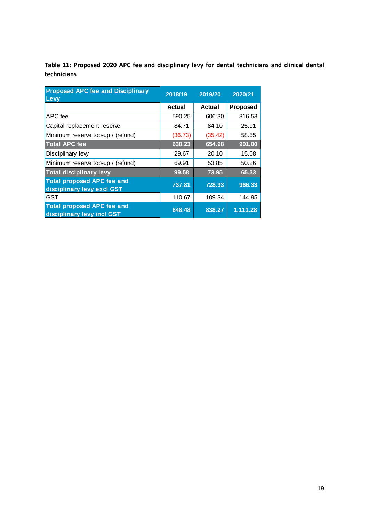**Table 11: Proposed 2020 APC fee and disciplinary levy for dental technicians and clinical dental technicians**

| <b>Proposed APC fee and Disciplinary</b><br>Levy                | 2018/19 | 2019/20 | 2020/21         |
|-----------------------------------------------------------------|---------|---------|-----------------|
|                                                                 | Actual  | Actual  | <b>Proposed</b> |
| APC fee                                                         | 590.25  | 606.30  | 816.53          |
| Capital replacement reserve                                     | 84.71   | 84.10   | 25.91           |
| Minimum reserve top-up / (refund)                               | (36.73) | (35.42) | 58.55           |
| <b>Total APC fee</b>                                            | 638.23  | 654.98  | 901.00          |
| Disciplinary lew                                                | 29.67   | 20.10   | 15.08           |
| Minimum reserve top-up / (refund)                               | 69.91   | 53.85   | 50.26           |
| <b>Total disciplinary levy</b>                                  | 99.58   | 73.95   | 65.33           |
| <b>Total proposed APC fee and</b><br>disciplinary levy excl GST | 737.81  | 728.93  | 966.33          |
| <b>GST</b>                                                      | 110.67  | 109.34  | 144.95          |
| <b>Total proposed APC fee and</b><br>disciplinary levy incl GST | 848.48  | 838.27  | 1,111.28        |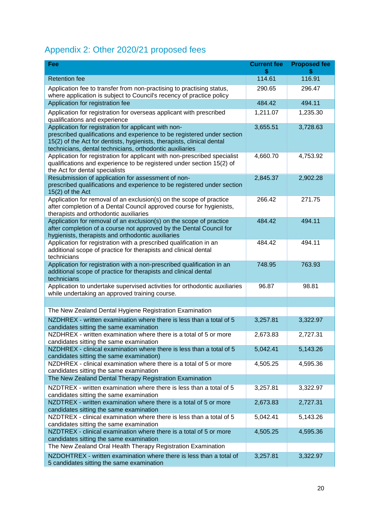# Appendix 2: Other 2020/21 proposed fees

| Fee                                                                                                                                                                                                                                                                   | <b>Current fee</b><br>\$ | <b>Proposed fee</b> |
|-----------------------------------------------------------------------------------------------------------------------------------------------------------------------------------------------------------------------------------------------------------------------|--------------------------|---------------------|
| <b>Retention fee</b>                                                                                                                                                                                                                                                  | 114.61                   | 116.91              |
| Application fee to transfer from non-practising to practising status,<br>where application is subject to Council's recency of practice policy                                                                                                                         | 290.65                   | 296.47              |
| Application for registration fee                                                                                                                                                                                                                                      | 484.42                   | 494.11              |
| Application for registration for overseas applicant with prescribed<br>qualifications and experience                                                                                                                                                                  | 1,211.07                 | 1,235.30            |
| Application for registration for applicant with non-<br>prescribed qualifications and experience to be registered under section<br>15(2) of the Act for dentists, hygienists, therapists, clinical dental<br>technicians, dental technicians, orthodontic auxiliaries | 3,655.51                 | 3,728.63            |
| Application for registration for applicant with non-prescribed specialist<br>qualifications and experience to be registered under section 15(2) of<br>the Act for dental specialists                                                                                  | 4,660.70                 | 4,753.92            |
| Resubmission of application for assessment of non-<br>prescribed qualifications and experience to be registered under section<br>$15(2)$ of the Act                                                                                                                   | 2,845.37                 | 2,902.28            |
| Application for removal of an exclusion(s) on the scope of practice<br>after completion of a Dental Council approved course for hygienists,<br>therapists and orthodontic auxiliaries                                                                                 | 266.42                   | 271.75              |
| Application for removal of an exclusion(s) on the scope of practice<br>after completion of a course not approved by the Dental Council for<br>hygienists, therapists and orthodontic auxiliaries                                                                      | 484.42                   | 494.11              |
| Application for registration with a prescribed qualification in an<br>additional scope of practice for therapists and clinical dental<br>technicians                                                                                                                  | 484.42                   | 494.11              |
| Application for registration with a non-prescribed qualification in an<br>additional scope of practice for therapists and clinical dental<br>technicians                                                                                                              | 748.95                   | 763.93              |
| Application to undertake supervised activities for orthodontic auxiliaries<br>while undertaking an approved training course.                                                                                                                                          | 96.87                    | 98.81               |
|                                                                                                                                                                                                                                                                       |                          |                     |
| The New Zealand Dental Hygiene Registration Examination                                                                                                                                                                                                               |                          |                     |
| NZDHREX - written examination where there is less than a total of 5<br>candidates sitting the same examination                                                                                                                                                        | 3,257.81                 | 3,322.97            |
| NZDHREX - written examination where there is a total of 5 or more<br>candidates sitting the same examination                                                                                                                                                          | 2,673.83                 | 2.727.31            |
| NZDHREX - clinical examination where there is less than a total of 5<br>candidates sitting the same examination)                                                                                                                                                      | 5,042.41                 | 5,143.26            |
| NZDHREX - clinical examination where there is a total of 5 or more<br>candidates sitting the same examination                                                                                                                                                         | 4,505.25                 | 4,595.36            |
| The New Zealand Dental Therapy Registration Examination                                                                                                                                                                                                               |                          |                     |
| NZDTREX - written examination where there is less than a total of 5<br>candidates sitting the same examination                                                                                                                                                        | 3,257.81                 | 3,322.97            |
| NZDTREX - written examination where there is a total of 5 or more<br>candidates sitting the same examination                                                                                                                                                          | 2,673.83                 | 2,727.31            |
| NZDTREX - clinical examination where there is less than a total of 5<br>candidates sitting the same examination                                                                                                                                                       | 5,042.41                 | 5,143.26            |
| NZDTREX - clinical examination where there is a total of 5 or more<br>candidates sitting the same examination                                                                                                                                                         | 4,505.25                 | 4,595.36            |
| The New Zealand Oral Health Therapy Registration Examination                                                                                                                                                                                                          |                          |                     |
| NZDOHTREX - written examination where there is less than a total of<br>5 candidates sitting the same examination                                                                                                                                                      | 3,257.81                 | 3,322.97            |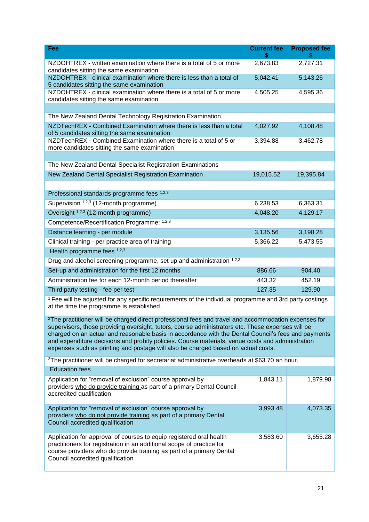| Fee                                                                                                                                                                                                                                                                                                                                                                                                                                                                                                                   | <b>Current fee</b> | <b>Proposed fee</b> |  |
|-----------------------------------------------------------------------------------------------------------------------------------------------------------------------------------------------------------------------------------------------------------------------------------------------------------------------------------------------------------------------------------------------------------------------------------------------------------------------------------------------------------------------|--------------------|---------------------|--|
|                                                                                                                                                                                                                                                                                                                                                                                                                                                                                                                       | \$                 |                     |  |
| NZDOHTREX - written examination where there is a total of 5 or more<br>candidates sitting the same examination                                                                                                                                                                                                                                                                                                                                                                                                        | 2,673.83           | 2,727.31            |  |
| NZDOHTREX - clinical examination where there is less than a total of<br>5 candidates sitting the same examination                                                                                                                                                                                                                                                                                                                                                                                                     | 5,042.41           | 5,143.26            |  |
| NZDOHTREX - clinical examination where there is a total of 5 or more<br>candidates sitting the same examination                                                                                                                                                                                                                                                                                                                                                                                                       | 4,505.25           | 4,595.36            |  |
|                                                                                                                                                                                                                                                                                                                                                                                                                                                                                                                       |                    |                     |  |
| The New Zealand Dental Technology Registration Examination                                                                                                                                                                                                                                                                                                                                                                                                                                                            |                    |                     |  |
| NZDTechREX - Combined Examination where there is less than a total<br>of 5 candidates sitting the same examination                                                                                                                                                                                                                                                                                                                                                                                                    | 4,027.92           | 4,108.48            |  |
| NZDTechREX - Combined Examination where there is a total of 5 or<br>more candidates sitting the same examination                                                                                                                                                                                                                                                                                                                                                                                                      | 3,394.88           | 3,462.78            |  |
|                                                                                                                                                                                                                                                                                                                                                                                                                                                                                                                       |                    |                     |  |
| The New Zealand Dental Specialist Registration Examinations                                                                                                                                                                                                                                                                                                                                                                                                                                                           |                    |                     |  |
| New Zealand Dental Specialist Registration Examination                                                                                                                                                                                                                                                                                                                                                                                                                                                                | 19,015.52          | 19,395.84           |  |
|                                                                                                                                                                                                                                                                                                                                                                                                                                                                                                                       |                    |                     |  |
| Professional standards programme fees 1,2,3                                                                                                                                                                                                                                                                                                                                                                                                                                                                           |                    |                     |  |
| Supervision 1,2,3 (12-month programme)                                                                                                                                                                                                                                                                                                                                                                                                                                                                                | 6,238.53           | 6,363.31            |  |
| Oversight 1,2,3 (12-month programme)                                                                                                                                                                                                                                                                                                                                                                                                                                                                                  | 4,048.20           | 4,129.17            |  |
| Competence/Recertification Programme: 1,2,3                                                                                                                                                                                                                                                                                                                                                                                                                                                                           |                    |                     |  |
| Distance learning - per module                                                                                                                                                                                                                                                                                                                                                                                                                                                                                        | 3,135.56           | 3,198.28            |  |
| Clinical training - per practice area of training                                                                                                                                                                                                                                                                                                                                                                                                                                                                     | 5,366.22           | 5,473.55            |  |
| Health programme fees 1,2,3                                                                                                                                                                                                                                                                                                                                                                                                                                                                                           |                    |                     |  |
| Drug and alcohol screening programme, set up and administration 1,2,3                                                                                                                                                                                                                                                                                                                                                                                                                                                 |                    |                     |  |
| Set-up and administration for the first 12 months                                                                                                                                                                                                                                                                                                                                                                                                                                                                     | 886.66             | 904.40              |  |
| Administration fee for each 12-month period thereafter                                                                                                                                                                                                                                                                                                                                                                                                                                                                | 443.32             | 452.19              |  |
| Third party testing - fee per test                                                                                                                                                                                                                                                                                                                                                                                                                                                                                    | 127.35             | 129.90              |  |
| <sup>1</sup> Fee will be adjusted for any specific requirements of the individual programme and 3rd party costings<br>at the time the programme is established.                                                                                                                                                                                                                                                                                                                                                       |                    |                     |  |
| <sup>2</sup> The practitioner will be charged direct professional fees and travel and accommodation expenses for<br>supervisors, those providing oversight, tutors, course administrators etc. These expenses will be<br>charged on an actual and reasonable basis in accordance with the Dental Council's fees and payments<br>and expenditure decisions and probity policies. Course materials, venue costs and administration<br>expenses such as printing and postage will also be charged based on actual costs. |                    |                     |  |
| <sup>3</sup> The practitioner will be charged for secretariat administrative overheads at \$63.70 an hour.                                                                                                                                                                                                                                                                                                                                                                                                            |                    |                     |  |
| <b>Education fees</b>                                                                                                                                                                                                                                                                                                                                                                                                                                                                                                 |                    |                     |  |
| Application for "removal of exclusion" course approval by<br>providers who do provide training as part of a primary Dental Council<br>accredited qualification                                                                                                                                                                                                                                                                                                                                                        | 1,843.11           | 1,879.98            |  |
| Application for "removal of exclusion" course approval by<br>providers who do not provide training as part of a primary Dental<br>Council accredited qualification                                                                                                                                                                                                                                                                                                                                                    | 3,993.48           | 4,073.35            |  |
| Application for approval of courses to equip registered oral health<br>practitioners for registration in an additional scope of practice for<br>course providers who do provide training as part of a primary Dental<br>Council accredited qualification                                                                                                                                                                                                                                                              | 3,583.60           | 3,655.28            |  |